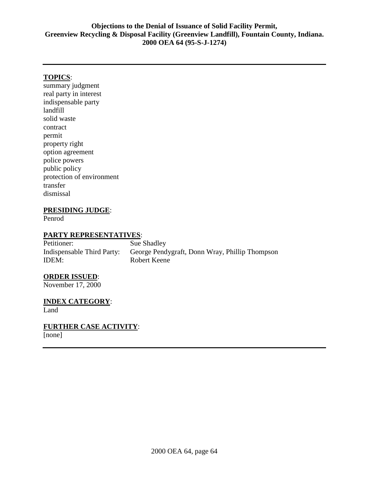# **TOPICS**:

summary judgment real party in interest indispensable party landfill solid waste contract permit property right option agreement police powers public policy protection of environment transfer dismissal

# **PRESIDING JUDGE**:

Penrod

# **PARTY REPRESENTATIVES**:

Petitioner: Sue Shadley Indispensable Third Party: George Pendygraft, Donn Wray, Phillip Thompson IDEM: Robert Keene

# **ORDER ISSUED**:

November 17, 2000

**INDEX CATEGORY**: Land

**FURTHER CASE ACTIVITY**:

[none]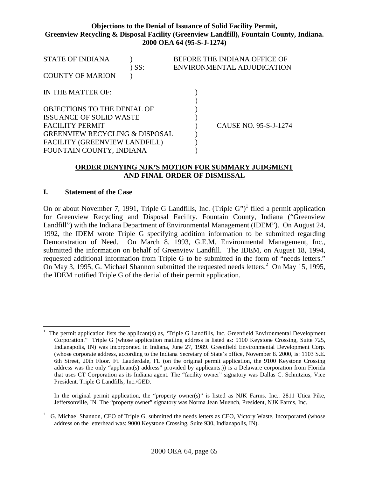| <b>STATE OF INDIANA</b>                   |     | BEFORE THE INDIANA OFFICE OF |
|-------------------------------------------|-----|------------------------------|
|                                           | SS: | ENVIRONMENTAL ADJUDICATION   |
| <b>COUNTY OF MARION</b>                   |     |                              |
|                                           |     |                              |
| IN THE MATTER OF:                         |     |                              |
|                                           |     |                              |
| OBJECTIONS TO THE DENIAL OF               |     |                              |
| <b>ISSUANCE OF SOLID WASTE</b>            |     |                              |
| <b>FACILITY PERMIT</b>                    |     | CAUSE NO. 95-S-J-1274        |
| <b>GREENVIEW RECYCLING &amp; DISPOSAL</b> |     |                              |
| FACILITY (GREENVIEW LANDFILL)             |     |                              |
| FOUNTAIN COUNTY, INDIANA                  |     |                              |

# **ORDER DENYING NJK'S MOTION FOR SUMMARY JUDGMENT AND FINAL ORDER OF DISMISSAL**

### **I. Statement of the Case**

On or about November 7, 1991, Triple G Landfills, Inc. (Triple G")<sup>1</sup> filed a permit application for Greenview Recycling and Disposal Facility. Fountain County, Indiana ("Greenview Landfill") with the Indiana Department of Environmental Management (IDEM"). On August 24, 1992, the IDEM wrote Triple G specifying addition information to be submitted regarding Demonstration of Need. On March 8. 1993, G.E.M. Environmental Management, Inc., submitted the information on behalf of Greenview Landfill. The IDEM, on August 18, 1994, requested additional information from Triple G to be submitted in the form of "needs letters." On May 3, 1995, G. Michael Shannon submitted the requested needs letters.<sup>2</sup> On May 15, 1995, the IDEM notified Triple G of the denial of their permit application.

In the original permit application, the "property owner(s)" is listed as NJK Farms. Inc.. 2811 Utica Pike, Jeffersonville, IN. The "property owner" signatory was Norma Jean Muench, President, NJK Farms, Inc.

 $\overline{a}$ 1 The permit application lists the applicant(s) as, 'Triple G Landfills, Inc. Greenfield Environmental Development Corporation." Triple G (whose application mailing address is listed as: 9100 Keystone Crossing, Suite 725, Indianapolis, IN) was incorporated in Indiana, June 27, 1989. Greenfield Environmental Development Corp. (whose corporate address, according to the Indiana Secretary of State's office, November 8. 2000, is: 1103 S.E. 6th Street, 20th Floor. Ft. Lauderdale, FL (on the original permit application, the 9100 Keystone Crossing address was the only "applicant(s) address" provided by applicants.)) is a Delaware corporation from Florida that uses CT Corporation as its Indiana agent. The "facility owner" signatory was Dallas C. Schnitzius, Vice President. Triple G Landfills, Inc./GED.

<sup>2</sup> G. Michael Shannon, CEO of Triple G, submitted the needs letters as CEO, Victory Waste, Incorporated (whose address on the letterhead was: 9000 Keystone Crossing, Suite 930, Indianapolis, IN).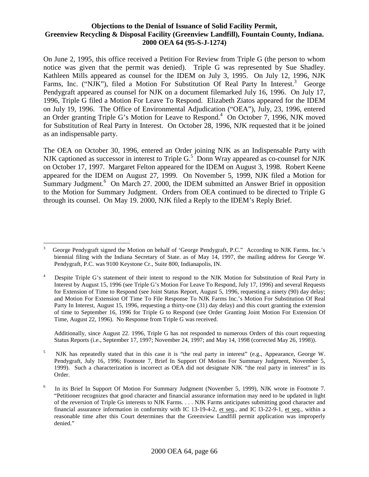On June 2, 1995, this office received a Petition For Review from Triple G (the person to whom notice was given that the permit was denied). Triple G was represented by Sue Shadley. Kathleen Mills appeared as counsel for the IDEM on July 3, 1995. On July 12, 1996, NJK Farms, Inc. ("NJK"), filed a Motion For Substitution Of Real Party In Interest.<sup>3</sup> George Pendygraft appeared as counsel for NJK on a document filemarked July 16, 1996. On July 17, 1996, Triple G filed a Motion For Leave To Respond. Elizabeth Ziatos appeared for the IDEM on July 19, 1996. The Office of Environmental Adjudication ("OEA"), July, 23, 1996, entered an Order granting Triple G's Motion for Leave to Respond.<sup>4</sup> On October 7, 1996, NJK moved for Substitution of Real Party in Interest. On October 28, 1996, NJK requested that it be joined as an indispensable party.

The OEA on October 30, 1996, entered an Order joining NJK as an Indispensable Party with NJK captioned as successor in interest to Triple  $G<sup>5</sup>$  Donn Wray appeared as co-counsel for NJK on October 17, 1997. Margaret Felton appeared for the IDEM on August 3, 1998. Robert Keene appeared for the IDEM on August 27, 1999. On November 5, 1999, NJK filed a Motion for Summary Judgment.<sup>6</sup> On March 27. 2000, the IDEM submitted an Answer Brief in opposition to the Motion for Summary Judgment. Orders from OEA continued to be directed to Triple G through its counsel. On May 19. 2000, NJK filed a Reply to the IDEM's Reply Brief.

Additionally, since August 22. 1996, Triple G has not responded to numerous Orders of this court requesting Status Reports (i.e., September 17, 1997; November 24, 1997; and May 14, 1998 (corrected May 26, 1998)).

 5 NJK has repeatedly stated that in this case it is "the real party in interest" (e.g., Appearance, George W. Pendygraft, July 16, 1996; Footnote 7, Brief In Support Of Motion For Summary Judgment, November 5, 1999). Such a characterization is incorrect as OEA did not designate NJK "the real party in interest" in its Order.

 $\overline{a}$ 3 George Pendygraft signed the Motion on behalf of 'George Pendygraft, P.C." According to NJK Farms. Inc.'s biennial filing with the Indiana Secretary of State. as of May 14, 1997, the mailing address for George W. Pendygraft, P.C. was 9100 Keystone Cr., Suite 800, Indianapolis, IN.

 4 Despite Triple G's statement of their intent to respond to the NJK Motion for Substitution of Real Party in Interest by August 15, 1996 (see Triple G's Motion For Leave To Respond, July 17, 1996) and several Requests for Extension of Time to Respond (see Joint Status Report, August 5, 1996, requesting a ninety (90) day delay; and Motion For Extension Of Time To File Response To NJK Farms Inc.'s Motion For Substitution Of Real Party In Interest, August 15, 1996, requesting a thirty-one (31) day delay) and this court granting the extension of time to September 16, 1996 for Triple G to Respond (see Order Granting Joint Motion For Extension Of Time, August 22, 1996). No Response from Triple G was received.

 6 In its Brief In Support Of Motion For Summary Judgment (November 5, 1999), NJK wrote in Footnote 7. "Petitioner recognizes that good character and financial assurance information may need to be updated in light of the reversion of Triple Gs interests to NJK Farms. . . . NJK Farms anticipates submitting good character and financial assurance information in conformity with IC 13-19-4-2, et seq., and IC l3-22-9-1, et seq., within a reasonable time after this Court determines that the Greenview Landfill permit application was improperly denied."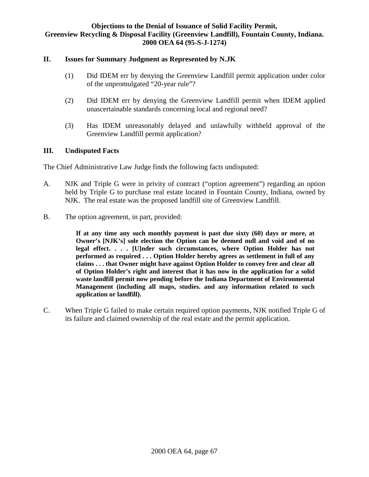# **II. Issues for Summary Judgment as Represented by N.JK**

- (1) Did IDEM err by denying the Greenview Landfill permit application under color of the unpromulgated "20-year rule"?
- (2) Did IDEM err by denying the Greenview Landfill permit when IDEM applied unascertainable standards concerning local and regional need?
- (3) Has IDEM unreasonably delayed and unlawfully withheld approval of the Greenview Landfill permit application?

# **III. Undisputed Facts**

The Chief Administrative Law Judge finds the following facts undisputed:

- A. NJK and Triple G were in privity of contract ("option agreement") regarding an option held by Triple G to purchase real estate located in Fountain County, Indiana, owned by NJK. The real estate was the proposed landfill site of Greenview Landfill.
- B. The option agreement, in part, provided:

**If at any time any such monthly payment is past due sixty (60) days or more, at Owner's [NJK's] sole election the Option can be deemed null and void and of no legal effect. . . . [U]nder such circumstances, where Option Holder has not performed as required . . . Option Holder hereby agrees as settlement in full of any claims . . . that Owner might have against Option Holder to convey free and clear all of Option Holder's right and interest that it has now in the application for a solid waste landfill permit now pending before the Indiana Department of Environmental Management (including all maps, studies. and any information related to such application or landfill).** 

C. When Triple G failed to make certain required option payments, NJK notified Triple G of its failure and claimed ownership of the real estate and the permit application.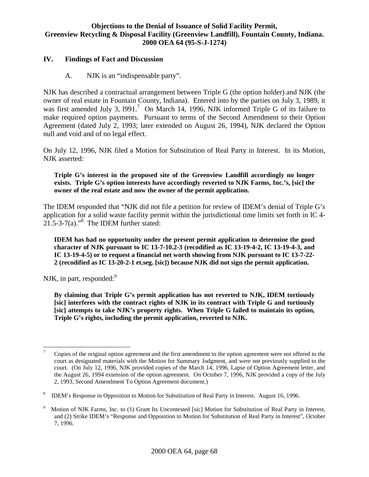# **IV. Findings of Fact and Discussion**

A. NJK is an "indispensable party".

NJK has described a contractual arrangement between Triple G (the option holder) and NJK (the owner of real estate in Fountain County, Indiana). Entered into by the parties on July 3, 1989, it was first amended July 3, 1991.<sup>7</sup> On March 14, 1996, NJK informed Triple G of its failure to make required option payments. Pursuant to terms of the Second Amendment to their Option Agreement (dated July 2, 1993; later extended on August 26, 1994), NJK declared the Option null and void and of no legal effect.

On July 12, 1996, NJK filed a Motion for Substitution of Real Party in Interest. In its Motion, NJK asserted:

**Triple G's interest in the proposed site of the Greenview Landfill accordingly no longer exists. Triple G's option interests have accordingly reverted to NJK Farms, Inc.'s, [sic] the owner of the real estate and now the owner of the permit application.** 

The IDEM responded that "NJK did not file a petition for review of IDEM's denial of Triple G's application for a solid waste facility permit within the jurisdictional time limits set forth in IC 4-  $21.5 - 3 - 7(a).$ <sup>8</sup> The IDEM further stated:

**IDEM has had no opportunity under the present permit application to determine the good character of NJK pursuant to IC 13-7-10.2-3 (recodified as IC 13-19-4-2, IC 13-19-4-3, and IC 13-19-4-5) or to request a financial net worth showing from NJK pursuant to IC 13-7-22- 2 (recodified as IC 13-20-2-1 et.seg. [sic]) because NJK did not sign the permit application.** 

NJK, in part, responded: $9$ 

**By claiming that Triple G's permit application has not reverted to NJK, IDEM tortiously [sic] interferes with the contract rights of NJK in its contract with Triple G and tortiously [sic] attempts to take NJK's property rights. When Triple G failed to maintain its option, Triple G's rights, including the permit application, reverted to NJK.** 

<sup>-</sup>7 Copies of the original option agreement and the first amendment to the option agreement were not offered to the court as designated materials with the Motion for Summary Judgment, and were not previously supplied to the court. (On July 12, 1996, NJK provided copies of the March 14, 1996, Lapse of Option Agreement letter, and the August 26, 1994 extension of the option agreement. On October 7, 1996, NJK provided a copy of the July 2, 1993, Second Amendment To Option Agreement document.)

 8 IDEM's Response in Opposition to Motion for Substitution of Real Party in Interest. August 16, 1996.

<sup>9</sup> Motion of NJK Farms, Inc. to (1) Grant Its Uncontested [sic] Motion for Substitution of Real Party in Interest, and (2) Strike IDEM's "Response and Opposition to Motion for Substitution of Real Party in Interest", October 7, 1996.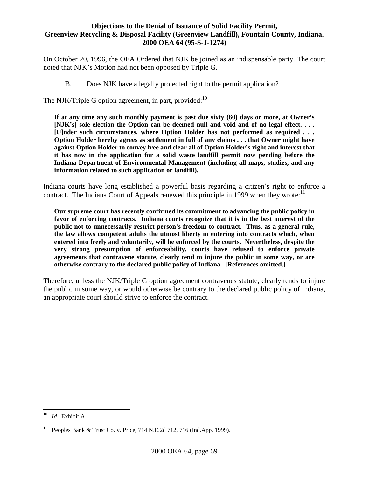On October 20, 1996, the OEA Ordered that NJK be joined as an indispensable party. The court noted that NJK's Motion had not been opposed by Triple G.

B. Does NJK have a legally protected right to the permit application?

The NJK/Triple G option agreement, in part, provided:  $10$ 

**If at any time any such monthly payment is past due sixty (60) days or more, at Owner's [NJK's] sole election the Option can be deemed null and void and of no legal effect. . . . [U]nder such circumstances, where Option Holder has not performed as required . . . Option Holder hereby agrees as settlement in full of any claims . . . that Owner might have against Option Holder to convey free and clear all of Option Holder's right and interest that it has now in the application for a solid waste landfill permit now pending before the Indiana Department of Environmental Management (including all maps, studies, and any information related to such application or landfill).** 

Indiana courts have long established a powerful basis regarding a citizen's right to enforce a contract. The Indiana Court of Appeals renewed this principle in 1999 when they wrote:<sup>11</sup>

**Our supreme court has recently confirmed its commitment to advancing the public policy in favor of enforcing contracts. Indiana courts recognize that it is in the best interest of the public not to unnecessarily restrict person's freedom to contract. Thus, as a general rule, the law allows competent adults the utmost liberty in entering into contracts which, when entered into freely and voluntarily, will be enforced by the courts. Nevertheless, despite the very strong presumption of enforceability, courts have refused to enforce private agreements that contravene statute, clearly tend to injure the public in some way, or are otherwise contrary to the declared public policy of Indiana. [References omitted.]** 

Therefore, unless the NJK/Triple G option agreement contravenes statute, clearly tends to injure the public in some way, or would otherwise be contrary to the declared public policy of Indiana, an appropriate court should strive to enforce the contract.

<u>.</u>

<sup>10</sup> *Id.*, Exhibit A.

Peoples Bank & Trust Co. v. Price, 714 N.E.2d 712, 716 (Ind.App. 1999).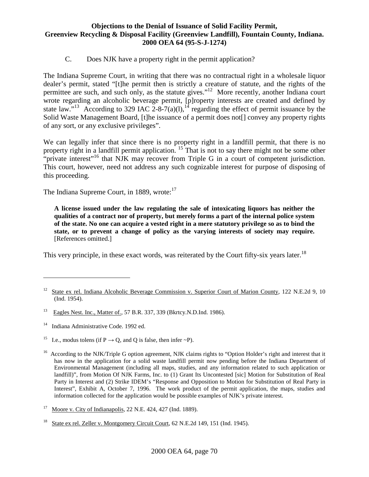C. Does NJK have a property right in the permit application?

The Indiana Supreme Court, in writing that there was no contractual right in a wholesale liquor dealer's permit, stated "[t]he permit then is strictly a creature of statute, and the rights of the permittee are such, and such only, as the statute gives."<sup>12</sup> More recently, another Indiana court wrote regarding an alcoholic beverage permit, [p]roperty interests are created and defined by state law."<sup>13</sup> According to 329 IAC 2-8-7(a)(l),<sup>14</sup> regarding the effect of permit issuance by the Solid Waste Management Board, [t]he issuance of a permit does not<sup>[]</sup> convey any property rights of any sort, or any exclusive privileges".

We can legally infer that since there is no property right in a landfill permit, that there is no property right in a landfill permit application. <sup>15</sup> That is not to say there might not be some other "private interest"<sup>16</sup> that NJK may recover from Triple G in a court of competent jurisdiction. This court, however, need not address any such cognizable interest for purpose of disposing of this proceeding.

The Indiana Supreme Court, in 1889, wrote: $17$ 

**A license issued under the law regulating the sale of intoxicating liquors has neither the qualities of a contract nor of property, but merely forms a part of the internal police system of the state. No one can acquire a vested right in a mere statutory privilege so as to bind the state, or to prevent a change of policy as the varying interests of society may require.** [References omitted.]

This very principle, in these exact words, was reiterated by the Court fifty-six years later.<sup>18</sup>

- <sup>13</sup> Eagles Nest. Inc., Matter of., 57 B.R. 337, 339 (Bkrtcy.N.D.Ind. 1986).
- <sup>14</sup> Indiana Administrative Code. 1992 ed.

 $\overline{a}$ 

I.e., modus tolens (if  $P \rightarrow O$ , and O is false, then infer ~P).

<sup>&</sup>lt;sup>12</sup> State ex rel. Indiana Alcoholic Beverage Commission v. Superior Court of Marion County, 122 N.E.2d 9, 10 (Ind. 1954).

 $16$  According to the NJK/Triple G option agreement, NJK claims rights to "Option Holder's right and interest that it has now in the application for a solid waste landfill permit now pending before the Indiana Department of Environmental Management (including all maps, studies, and any information related to such application or landfill)", from Motion Of NJK Farms, Inc. to (1) Grant Its Uncontested [sic] Motion for Substitution of Real Party in Interest and (2) Strike IDEM's "Response and Opposition to Motion for Substitution of Real Party in Interest", Exhibit A, October 7, 1996. The work product of the permit application, the maps, studies and information collected for the application would be possible examples of NJK's private interest.

 $17\,$ <sup>17</sup> Moore v. City of Indianapolis, 22 N.E. 424, 427 (Ind. 1889).

 $18\,$ State ex rel. Zeller v. Montgomery Circuit Court, 62 N.E.2d 149, 151 (Ind. 1945).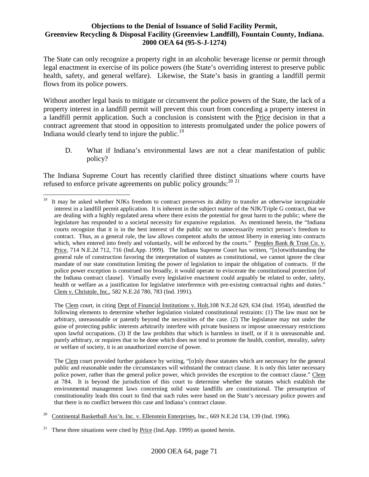The State can only recognize a property right in an alcoholic beverage license or permit through legal enactment in exercise of its police powers (the State's overriding interest to preserve public health, safety, and general welfare). Likewise, the State's basis in granting a landfill permit flows from its police powers.

Without another legal basis to mitigate or circumvent the police powers of the State, the lack of a property interest in a landfill permit will prevent this court from conceding a property interest in a landfill permit application. Such a conclusion is consistent with the Price decision in that a contract agreement that stood in opposition to interests promulgated under the police powers of Indiana would clearly tend to injure the public.<sup>19</sup>

D. What if Indiana's environmental laws are not a clear manifestation of public policy?

The Indiana Supreme Court has recently clarified three distinct situations where courts have refused to enforce private agreements on public policy grounds:  $20\frac{2}{1}$ 

The Clem court, in citing Dept of Financial Institutions v. Holt,108 N.E.2d 629, 634 (Ind. 1954), identified the following elements to determine whether legislation violated constitutional restraints: (1) The law must not be arbitrary, unreasonable or patently beyond the necessities of the case. (2) The legislature may not under the guise of protecting public interests arbitrarily interfere with private business or impose unnecessary restrictions upon lawful occupations. (3) If the law prohibits that which is harmless in itself, or if it is unreasonable and. purely arbitrary, or requires that to be done which does not tend to promote the health, comfort, morality, safety or welfare of society, it is an unauthorized exercise of power.

The Clem court provided further guidance by writing, "[o]nly those statutes which are necessary for the general public and reasonable under the circumstances will withstand the contract clause. It is only this latter necessary police power, rather than the general police power, which provides the exception to the contract clause." Clem at 784. It is beyond the jurisdiction of this court to determine whether the statutes which establish the environmental management laws concerning solid waste landfills are constitutional. The presumption of constitutionality leads this court to find that such rules were based on the State's necessary police powers and that there is no conflict between this case and Indiana's contract clause.

<sup>20</sup> Continental Basketball Ass'n. Inc. v. Ellenstein Enterprises, Inc., 669 N.E.2d 134, 139 (Ind. 1996).

<u>.</u>

<sup>&</sup>lt;sup>19</sup> It may be asked whether NJKs freedom to contract preserves its ability to transfer an otherwise incognizable interest in a landfill permit application. It is inherent in the subject matter of the NJK/Triple G contract, that we are dealing with a highly regulated arena where there exists the potential for great harm to the public; where the legislature has responded to a societal necessity for expansive regulation. As mentioned herein, the "Indiana courts recognize that it is in the best interest of the public not to unnecessarily restrict person's freedom to contract. Thus, as a general rule, the law allows competent adults the utmost liberty in entering into contracts which, when entered into freely and voluntarily, will be enforced by the courts." Peoples Bank & Trust Co. v. Price, 714 N.E.2d 712, 716 (Ind.App. 1999). The Indiana Supreme Court has written, "[n}otwithstanding the general rule of construction favoring the interpretation of statutes as constitutional, we cannot ignore the clear mandate of our state constitution limiting the power of legislation to impair the obligation of contracts. If the police power exception is construed too broadly, it would operate to eviscerate the constitutional protection [of the Indiana contract clause]. Virtually every legislative enactment could arguably be related to order, safety, health or welfare as a justification for legislative interference with pre-existing contractual rights and duties." Clem v. Christole. Inc., 582 N.E.2d 780, 783 (Ind. 1991).

These three situations were cited by Price (Ind.App. 1999) as quoted herein.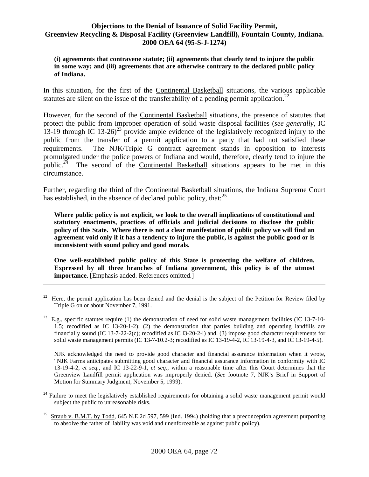**(i) agreements that contravene statute; (ii) agreements that clearly tend to injure the public in some way; and (iii) agreements that are otherwise contrary to the declared public policy of Indiana.** 

In this situation, for the first of the Continental Basketball situations, the various applicable statutes are silent on the issue of the transferability of a pending permit application.<sup>22</sup>

However, for the second of the Continental Basketball situations, the presence of statutes that protect the public from improper operation of solid waste disposal facilities (*see generally*, IC 13-19 through IC 13-26)<sup>23</sup> provide ample evidence of the legislatively recognized injury to the public from the transfer of a permit application to a party that had not satisfied these requirements. The NJK/Triple G contract agreement stands in opposition to interests promulgated under the police powers of Indiana and would, therefore, clearly tend to injure the public.<sup>24</sup> The second of the Continental Basketball situations appears to be met in this circumstance.

Further, regarding the third of the Continental Basketball situations, the Indiana Supreme Court has established, in the absence of declared public policy, that: $^{25}$ 

**Where public policy is not explicit, we look to the overall implications of constitutional and statutory enactments, practices of officials and judicial decisions to disclose the public policy of this State. Where there is not a clear manifestation of public policy we will find an agreement void only if it has a tendency to injure the public, is against the public good or is inconsistent with sound policy and good morals.** 

**One well-established public policy of this State is protecting the welfare of children. Expressed by all three branches of Indiana government, this policy is of the utmost importance.** [Emphasis added. References omitted.]

<u>.</u>

NJK acknowledged the need to provide good character and financial assurance information when it wrote, "NJK Farms anticipates submitting good character and financial assurance information in conformity with IC 13-19-4-2, *et seq.*, and IC 13-22-9-1, *et seq*., within a reasonable time after this Court determines that the Greenview Landfill permit application was improperly denied. (*See* footnote 7, NJK's Brief in Support of Motion for Summary Judgment, November 5, 1999).

- $24$  Failure to meet the legislatively established requirements for obtaining a solid waste management permit would subject the public to unreasonable risks.
- <sup>25</sup> Straub v. B.M.T. by Todd, 645 N.E.2d 597, 599 (Ind. 1994) (holding that a preconception agreement purporting to absolve the father of liability was void and unenforceable as against public policy).

<sup>&</sup>lt;sup>22</sup> Here, the permit application has been denied and the denial is the subject of the Petition for Review filed by Triple G on or about November 7, 1991.

 $^{23}$  E.g., specific statutes require (1) the demonstration of need for solid waste management facilities (IC 13-7-10-1.5; recodified as IC 13-20-1-2); (2) the demonstration that parties building and operating landfills are financially sound (IC 13-7-22-2(c); recodified as IC l3-20-2-l) and. (3) impose good character requirements for solid waste management permits (IC 13-7-10.2-3; recodified as IC 13-19-4-2, IC 13-19-4-3, and IC 13-19-4-5).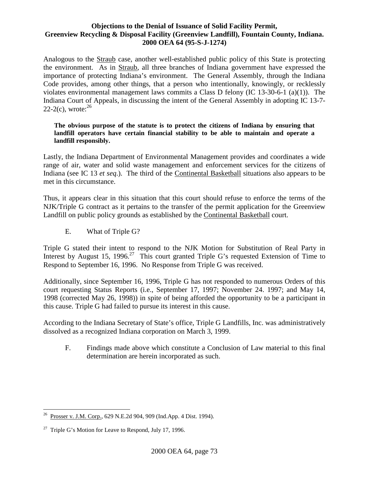Analogous to the Straub case, another well-established public policy of this State is protecting the environment. As in Straub, all three branches of Indiana government have expressed the importance of protecting Indiana's environment. The General Assembly, through the Indiana Code provides, among other things, that a person who intentionally, knowingly, or recklessly violates environmental management laws commits a Class D felony (IC 13-30-6-1 (a)(1)). The Indiana Court of Appeals, in discussing the intent of the General Assembly in adopting IC 13-7- 22-2(c), wrote: $^{26}$ 

#### **The obvious purpose of the statute is to protect the citizens of Indiana by ensuring that landfill operators have certain financial stability to be able to maintain and operate a landfill responsibly.**

Lastly, the Indiana Department of Environmental Management provides and coordinates a wide range of air, water and solid waste management and enforcement services for the citizens of Indiana (see IC 13 *et seq*.). The third of the Continental Basketball situations also appears to be met in this circumstance.

Thus, it appears clear in this situation that this court should refuse to enforce the terms of the NJK/Triple G contract as it pertains to the transfer of the permit application for the Greenview Landfill on public policy grounds as established by the Continental Basketball court.

E. What of Triple G?

Triple G stated their intent to respond to the NJK Motion for Substitution of Real Party in Interest by August 15, 1996.<sup>27</sup> This court granted Triple G's requested Extension of Time to Respond to September 16, 1996. No Response from Triple G was received.

Additionally, since September 16, 1996, Triple G has not responded to numerous Orders of this court requesting Status Reports (i.e., September 17, 1997; November 24. 1997; and May 14, 1998 (corrected May 26, 1998)) in spite of being afforded the opportunity to be a participant in this cause. Triple G had failed to pursue its interest in this cause.

According to the Indiana Secretary of State's office, Triple G Landfills, Inc. was administratively dissolved as a recognized Indiana corporation on March 3, 1999.

F. Findings made above which constitute a Conclusion of Law material to this final determination are herein incorporated as such.

 $\overline{a}$ <sup>26</sup> Prosser v. J.M. Corp., 629 N.E.2d 904, 909 (Ind.App. 4 Dist. 1994).

 $27$  Triple G's Motion for Leave to Respond, July 17, 1996.